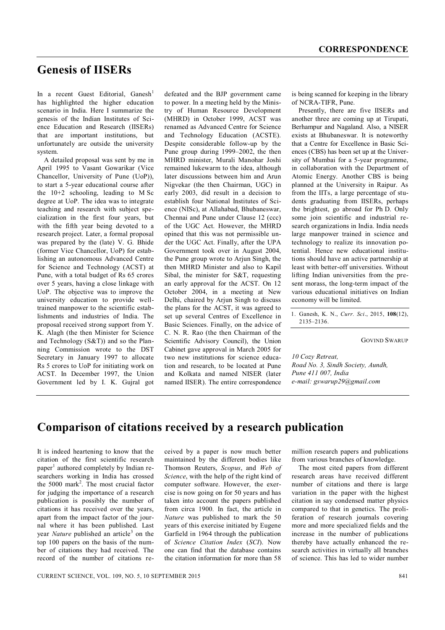## **Genesis of IISERs**

In a recent Guest Editorial, Ganesh<sup>1</sup> has highlighted the higher education scenario in India. Here I summarize the genesis of the Indian Institutes of Science Education and Research (IISERs) that are important institutions, but unfortunately are outside the university system.

A detailed proposal was sent by me in April 1995 to Vasant Gowarikar (Vice Chancellor, University of Pune (UoP)), to start a 5-year educational course after the 10+2 schooling, leading to M Sc degree at UoP. The idea was to integrate teaching and research with subject specialization in the first four years, but with the fifth year being devoted to a research project. Later, a formal proposal was prepared by the (late) V. G. Bhide (former Vice Chancellor, UoP) for establishing an autonomous Advanced Centre for Science and Technology (ACST) at Pune, with a total budget of Rs 65 crores over 5 years, having a close linkage with UoP. The objective was to improve the university education to provide welltrained manpower to the scientific establishments and industries of India. The proposal received strong support from Y. K. Alagh (the then Minister for Science and Technology (S&T)) and so the Planning Commission wrote to the DST Secretary in January 1997 to allocate Rs 5 crores to UoP for initiating work on ACST. In December 1997, the Union Government led by I. K. Gujral got

defeated and the BJP government came to power. In a meeting held by the Ministry of Human Resource Development (MHRD) in October 1999, ACST was renamed as Advanced Centre for Science and Technology Education (ACSTE). Despite considerable follow-up by the Pune group during 1999–2002, the then MHRD minister, Murali Manohar Joshi remained lukewarm to the idea, although later discussions between him and Arun Nigvekar (the then Chairman, UGC) in early 2003, did result in a decision to establish four National Institutes of Science (NISc), at Allahabad, Bhubaneswar, Chennai and Pune under Clause 12 (ccc) of the UGC Act. However, the MHRD opined that this was not permissible under the UGC Act. Finally, after the UPA Government took over in August 2004, the Pune group wrote to Arjun Singh, the then MHRD Minister and also to Kapil Sibal, the minister for S&T, requesting an early approval for the ACST. On 12 October 2004, in a meeting at New Delhi, chaired by Arjun Singh to discuss the plans for the ACST, it was agreed to set up several Centres of Excellence in Basic Sciences. Finally, on the advice of C. N. R. Rao (the then Chairman of the Scientific Advisory Council), the Union Cabinet gave approval in March 2005 for two new institutions for science education and research, to be located at Pune and Kolkata and named NISER (later named IISER). The entire correspondence is being scanned for keeping in the library of NCRA-TIFR, Pune.

Presently, there are five IISERs and another three are coming up at Tirupati, Berhampur and Nagaland. Also, a NISER exists at Bhubaneswar. It is noteworthy that a Centre for Excellence in Basic Sciences (CBS) has been set up at the University of Mumbai for a 5-year programme, in collaboration with the Department of Atomic Energy. Another CBS is being planned at the University in Raipur. As from the IITs, a large percentage of students graduating from IISERs, perhaps the brightest, go abroad for Ph D. Only some join scientific and industrial research organizations in India. India needs large manpower trained in science and technology to realize its innovation potential. Hence new educational institutions should have an active partnership at least with better-off universities. Without lifting Indian universities from the present morass, the long-term impact of the various educational initiatives on Indian economy will be limited.

1. Ganesh, K. N., *Curr. Sci*., 2015, **108**(12), 2135–2136.

GOVIND SWARUP

*10 Cozy Retreat, Road No. 3, Sindh Society, Aundh, Pune 411 007, India e-mail: gswarup29@gmail.com*

## **Comparison of citations received by a research publication**

It is indeed heartening to know that the citation of the first scientific research paper<sup>1</sup> authored completely by Indian researchers working in India has crossed the  $5000 \text{ mark}^2$ . The most crucial factor for judging the importance of a research publication is possibly the number of citations it has received over the years, apart from the impact factor of the journal where it has been published. Last year *Nature* published an article<sup>3</sup> on the top 100 papers on the basis of the number of citations they had received. The record of the number of citations received by a paper is now much better maintained by the different bodies like Thomson Reuters, *Scopus*, and *Web of Science*, with the help of the right kind of computer software. However, the exercise is now going on for 50 years and has taken into account the papers published from circa 1900. In fact, the article in *Nature* was published to mark the 50 years of this exercise initiated by Eugene Garfield in 1964 through the publication of *Science Citation Index* (*SCI*). Now one can find that the database contains the citation information for more than 58 million research papers and publications from various branches of knowledge.

The most cited papers from different research areas have received different number of citations and there is large variation in the paper with the highest citation in say condensed matter physics compared to that in genetics. The proliferation of research journals covering more and more specialized fields and the increase in the number of publications thereby have actually enhanced the research activities in virtually all branches of science. This has led to wider number